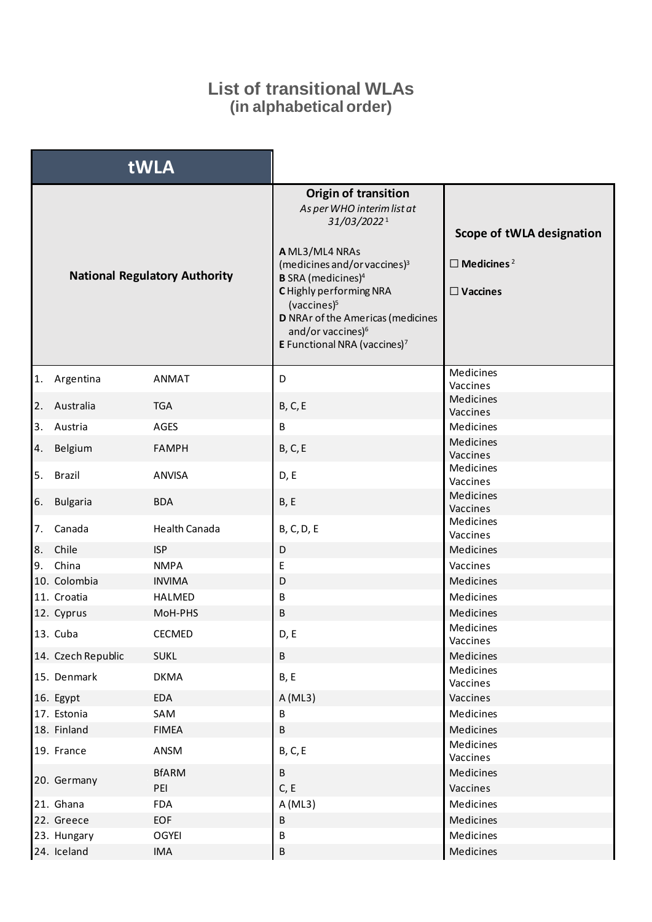## **List of transitional WLAs (in alphabetical order)**

| tWLA                                 |                    |                      |                                                                                                                                                                                                                                                                                                                                                                |                                                                               |
|--------------------------------------|--------------------|----------------------|----------------------------------------------------------------------------------------------------------------------------------------------------------------------------------------------------------------------------------------------------------------------------------------------------------------------------------------------------------------|-------------------------------------------------------------------------------|
| <b>National Regulatory Authority</b> |                    |                      | <b>Origin of transition</b><br>As per WHO interim list at<br>31/03/20221<br>A ML3/ML4 NRAs<br>(medicines and/or vaccines) <sup>3</sup><br><b>B</b> SRA (medicines) <sup>4</sup><br>C Highly performing NRA<br>(vaccines) <sup>5</sup><br>D NRAr of the Americas (medicines<br>and/or vaccines) <sup>6</sup><br><b>E</b> Functional NRA (vaccines) <sup>7</sup> | Scope of tWLA designation<br>$\Box$ Medicines <sup>2</sup><br>$\Box$ Vaccines |
|                                      | 1. Argentina       | <b>ANMAT</b>         | D                                                                                                                                                                                                                                                                                                                                                              | Medicines<br>Vaccines                                                         |
|                                      | 2. Australia       | <b>TGA</b>           | <b>B, C, E</b>                                                                                                                                                                                                                                                                                                                                                 | Medicines<br>Vaccines                                                         |
| 3.                                   | Austria            | AGES                 | В                                                                                                                                                                                                                                                                                                                                                              | Medicines                                                                     |
| 4.                                   | Belgium            | <b>FAMPH</b>         | <b>B, C, E</b>                                                                                                                                                                                                                                                                                                                                                 | Medicines<br>Vaccines                                                         |
|                                      | 5. Brazil          | <b>ANVISA</b>        | D, E                                                                                                                                                                                                                                                                                                                                                           | Medicines<br>Vaccines                                                         |
| 6.                                   | <b>Bulgaria</b>    | <b>BDA</b>           | B, E                                                                                                                                                                                                                                                                                                                                                           | Medicines<br>Vaccines                                                         |
| 7.                                   | Canada             | <b>Health Canada</b> | <b>B, C, D, E</b>                                                                                                                                                                                                                                                                                                                                              | Medicines<br>Vaccines                                                         |
| 8.                                   | Chile              | <b>ISP</b>           | D                                                                                                                                                                                                                                                                                                                                                              | Medicines                                                                     |
|                                      | 9. China           | <b>NMPA</b>          | E                                                                                                                                                                                                                                                                                                                                                              | Vaccines                                                                      |
|                                      | 10. Colombia       | <b>INVIMA</b>        | D                                                                                                                                                                                                                                                                                                                                                              | Medicines                                                                     |
|                                      | 11. Croatia        | HALMED               | В                                                                                                                                                                                                                                                                                                                                                              | Medicines                                                                     |
|                                      | 12. Cyprus         | MoH-PHS              | B                                                                                                                                                                                                                                                                                                                                                              | Medicines                                                                     |
|                                      | 13. Cuba           | <b>CECMED</b>        | D, E                                                                                                                                                                                                                                                                                                                                                           | Medicines<br>Vaccines                                                         |
|                                      | 14. Czech Republic | <b>SUKL</b>          | B                                                                                                                                                                                                                                                                                                                                                              | Medicines                                                                     |
|                                      | 15. Denmark        | <b>DKMA</b>          | B, E                                                                                                                                                                                                                                                                                                                                                           | Medicines<br>Vaccines                                                         |
|                                      | 16. Egypt          | EDA                  | A (ML3)                                                                                                                                                                                                                                                                                                                                                        | Vaccines                                                                      |
|                                      | 17. Estonia        | SAM                  | B                                                                                                                                                                                                                                                                                                                                                              | Medicines                                                                     |
|                                      | 18. Finland        | <b>FIMEA</b>         | B                                                                                                                                                                                                                                                                                                                                                              | Medicines                                                                     |
|                                      | 19. France         | ANSM                 | <b>B, C, E</b>                                                                                                                                                                                                                                                                                                                                                 | Medicines<br>Vaccines                                                         |
|                                      | 20. Germany        | <b>BfARM</b><br>PEI  | $\sf B$<br>C, E                                                                                                                                                                                                                                                                                                                                                | Medicines<br>Vaccines                                                         |
|                                      | 21. Ghana          | <b>FDA</b>           | A (ML3)                                                                                                                                                                                                                                                                                                                                                        | Medicines                                                                     |
|                                      | 22. Greece         | <b>EOF</b>           | В                                                                                                                                                                                                                                                                                                                                                              | Medicines                                                                     |
|                                      | 23. Hungary        | <b>OGYEI</b>         | B                                                                                                                                                                                                                                                                                                                                                              | Medicines                                                                     |
|                                      | 24. Iceland        | <b>IMA</b>           | $\sf B$                                                                                                                                                                                                                                                                                                                                                        | Medicines                                                                     |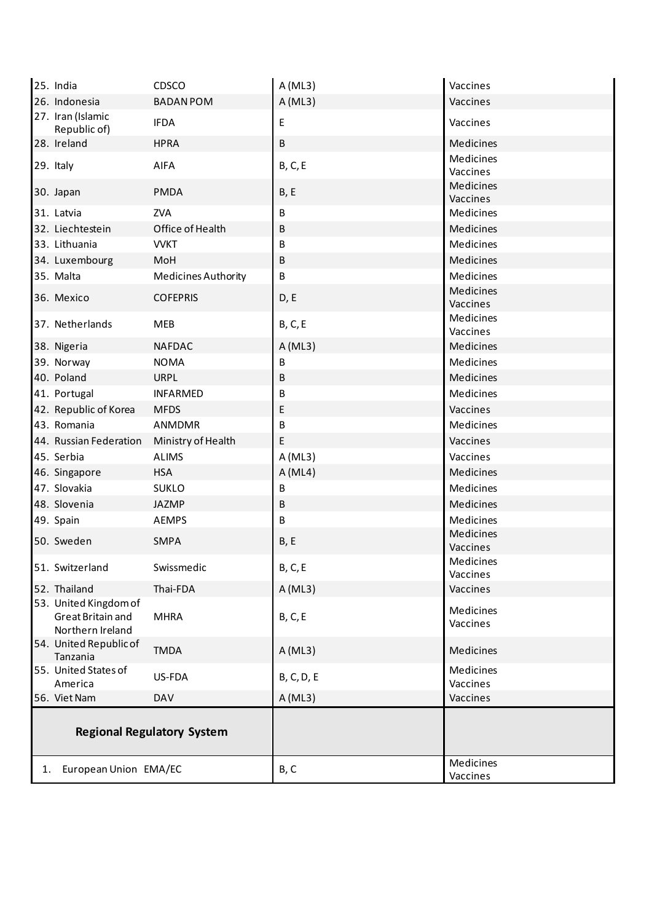|    | 25. India                             | CDSCO                             | A(ML3)         | Vaccines              |
|----|---------------------------------------|-----------------------------------|----------------|-----------------------|
|    | 26. Indonesia                         | <b>BADAN POM</b>                  | A(ML3)         | Vaccines              |
|    | 27. Iran (Islamic<br>Republic of)     | <b>IFDA</b>                       | E              | Vaccines              |
|    | 28. Ireland                           | <b>HPRA</b>                       | B              | Medicines             |
|    | 29. Italy                             | <b>AIFA</b>                       | <b>B, C, E</b> | Medicines<br>Vaccines |
|    | 30. Japan                             | <b>PMDA</b>                       | B, E           | Medicines<br>Vaccines |
|    | 31. Latvia                            | <b>ZVA</b>                        | B              | Medicines             |
|    | 32. Liechtestein                      | Office of Health                  | B              | Medicines             |
|    | 33. Lithuania                         | <b>VVKT</b>                       | B              | Medicines             |
|    | 34. Luxembourg                        | MoH                               | B              | Medicines             |
|    | 35. Malta                             | Medicines Authority               | B              | Medicines             |
|    | 36. Mexico                            | <b>COFEPRIS</b>                   | D, E           | Medicines<br>Vaccines |
|    | 37. Netherlands                       | <b>MEB</b>                        | <b>B, C, E</b> | Medicines<br>Vaccines |
|    | 38. Nigeria                           | <b>NAFDAC</b>                     | A(ML3)         | <b>Medicines</b>      |
|    | 39. Norway                            | <b>NOMA</b>                       | В              | Medicines             |
|    | 40. Poland                            | <b>URPL</b>                       | В              | Medicines             |
|    | 41. Portugal                          | <b>INFARMED</b>                   | B              | Medicines             |
|    | 42. Republic of Korea                 | <b>MFDS</b>                       | E              | Vaccines              |
|    | 43. Romania                           | ANMDMR                            | B              | Medicines             |
|    | 44. Russian Federation                | Ministry of Health                | E              | Vaccines              |
|    | 45. Serbia                            | <b>ALIMS</b>                      | A (ML3)        | Vaccines              |
|    | 46. Singapore                         | <b>HSA</b>                        | A (ML4)        | Medicines             |
|    | 47. Slovakia                          | <b>SUKLO</b>                      | В              | Medicines             |
|    | 48. Slovenia                          | <b>JAZMP</b>                      | В              | Medicines             |
|    | 49. Spain                             | <b>AEMPS</b>                      | B              | Medicines             |
|    | 50. Sweden                            | <b>SMPA</b>                       | B, E           | Medicines<br>Vaccines |
|    | 51. Switzerland                       | Swissmedic                        | <b>B, C, E</b> | Medicines<br>Vaccines |
|    | 52. Thailand                          | Thai-FDA                          | A(ML3)         | Vaccines              |
|    | 53. United Kingdom of                 |                                   |                |                       |
|    | Great Britain and<br>Northern Ireland | <b>MHRA</b>                       | <b>B, C, E</b> | Medicines<br>Vaccines |
|    | 54. United Republic of<br>Tanzania    | <b>TMDA</b>                       | A (ML3)        | Medicines             |
|    | 55. United States of<br>America       | US-FDA                            | B, C, D, E     | Medicines<br>Vaccines |
|    | 56. Viet Nam                          | <b>DAV</b>                        | A(ML3)         | Vaccines              |
|    |                                       | <b>Regional Regulatory System</b> |                | Medicines             |
| 1. | European Union EMA/EC                 |                                   | B, C           | Vaccines              |